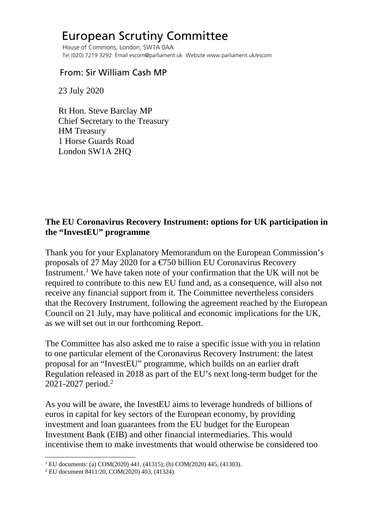## European Scrutiny Committee

 House of Commons, London, SW1A 0AA Tel (020) 7219 3292 Email escom@parliament.uk Website www.parliament.uk/escom

## From: Sir William Cash MP

23 July 2020

 Rt Hon. Steve Barclay MP Chief Secretary to the Treasury HM Treasury 1 Horse Guards Road London SW1A 2HQ

## **The EU Coronavirus Recovery Instrument: options for UK participation in the "InvestEU" programme**

Thank you for your Explanatory Memorandum on the European Commission's proposals of 27 May 2020 for a €750 billion EU Coronavirus Recovery Instrument.<sup>[1](#page-0-0)</sup> We have taken note of your confirmation that the UK will not be required to contribute to this new EU fund and, as a consequence, will also not receive any financial support from it. The Committee nevertheless considers that the Recovery Instrument, following the agreement reached by the European Council on 21 July, may have political and economic implications for the UK, as we will set out in our forthcoming Report.

The Committee has also asked me to raise a specific issue with you in relation to one particular element of the Coronavirus Recovery Instrument: the latest proposal for an "InvestEU" programme, which builds on an earlier draft Regulation released in 2018 as part of the EU's next long-term budget for the 2021-2027 period. [2](#page-0-1)

As you will be aware, the InvestEU aims to leverage hundreds of billions of euros in capital for key sectors of the European economy, by providing investment and loan guarantees from the EU budget for the European Investment Bank (EIB) and other financial intermediaries. This would incentivise them to make investments that would otherwise be considered too

<span id="page-0-1"></span><span id="page-0-0"></span><sup>&</sup>lt;sup>1</sup> EU documents: (a) COM(2020) 441, (41315); (b) COM(2020) 445, (41303).<br><sup>2</sup> EU document 8411/20, COM(2020) 403, (41324).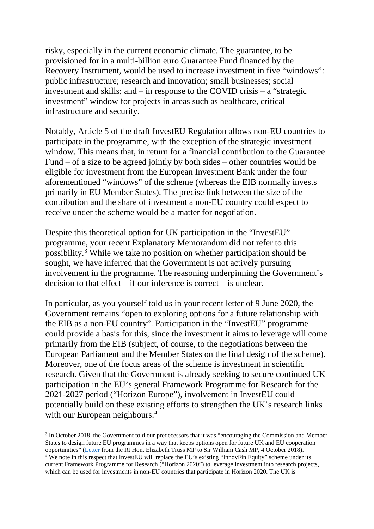risky, especially in the current economic climate. The guarantee, to be provisioned for in a multi-billion euro Guarantee Fund financed by the Recovery Instrument, would be used to increase investment in five "windows": public infrastructure; research and innovation; small businesses; social investment and skills; and – in response to the COVID crisis – a "strategic investment" window for projects in areas such as healthcare, critical infrastructure and security.

Notably, Article 5 of the draft InvestEU Regulation allows non-EU countries to participate in the programme, with the exception of the strategic investment window. This means that, in return for a financial contribution to the Guarantee Fund – of a size to be agreed jointly by both sides – other countries would be eligible for investment from the European Investment Bank under the four aforementioned "windows" of the scheme (whereas the EIB normally invests primarily in EU Member States). The precise link between the size of the contribution and the share of investment a non-EU country could expect to receive under the scheme would be a matter for negotiation.

Despite this theoretical option for UK participation in the "InvestEU" programme, your recent Explanatory Memorandum did not refer to this possibility. [3](#page-1-0) While we take no position on whether participation should be sought, we have inferred that the Government is not actively pursuing involvement in the programme. The reasoning underpinning the Government's decision to that effect – if our inference is correct – is unclear.

In particular, as you yourself told us in your recent letter of 9 June 2020, the Government remains "open to exploring options for a future relationship with the EIB as a non-EU country". Participation in the "InvestEU" programme could provide a basis for this, since the investment it aims to leverage will come primarily from the EIB (subject, of course, to the negotiations between the European Parliament and the Member States on the final design of the scheme). Moreover, one of the focus areas of the scheme is investment in scientific research. Given that the Government is already seeking to secure continued UK participation in the EU's general Framework Programme for Research for the 2021-2027 period ("Horizon Europe"), involvement in InvestEU could potentially build on these existing efforts to strengthen the UK's research links with our European neighbours.<sup>[4](#page-1-1)</sup>

<span id="page-1-0"></span><sup>&</sup>lt;sup>3</sup> In October 2018, the Government told our predecessors that it was "encouraging the Commission and Member States to design future EU programmes in a way that keeps options open for future UK and EU cooperation opportunities" [\(Letter](http://europeanmemoranda.cabinetoffice.gov.uk/files/2018/10/180928_InvestEU_Commons_Response_(003).pdf) from the Rt Hon. Elizabeth Truss MP to Sir William Cash MP, 4 October 2018).

<span id="page-1-1"></span><sup>&</sup>lt;sup>4</sup> We note in this respect that InvestEU will replace the EU's existing "InnovFin Equity" scheme under its current Framework Programme for Research ("Horizon 2020") to leverage investment into research projects, which can be used for investments in non-EU countries that participate in Horizon 2020. The UK is